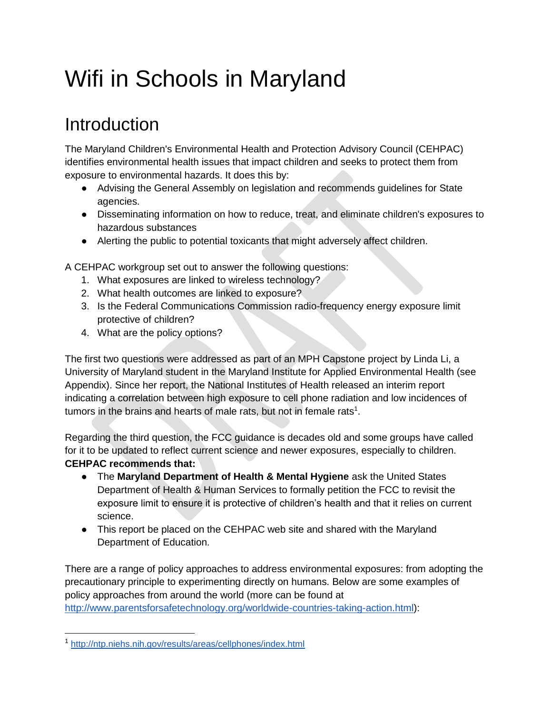## Wifi in Schools in Maryland

## Introduction

The Maryland Children's Environmental Health and Protection Advisory Council (CEHPAC) identifies environmental health issues that impact children and seeks to protect them from exposure to environmental hazards. It does this by:

- Advising the General Assembly on legislation and recommends guidelines for State agencies.
- Disseminating information on how to reduce, treat, and eliminate children's exposures to hazardous substances
- Alerting the public to potential toxicants that might adversely affect children.

A CEHPAC workgroup set out to answer the following questions:

- 1. What exposures are linked to wireless technology?
- 2. What health outcomes are linked to exposure?
- 3. Is the Federal Communications Commission radio-frequency energy exposure limit protective of children?
- 4. What are the policy options?

The first two questions were addressed as part of an MPH Capstone project by Linda Li, a University of Maryland student in the Maryland Institute for Applied Environmental Health (see Appendix). Since her report, the National Institutes of Health released an interim report indicating a correlation between high exposure to cell phone radiation and low incidences of tumors in the brains and hearts of male rats, but not in female rats<sup>1</sup>.

Regarding the third question, the FCC guidance is decades old and some groups have called for it to be updated to reflect current science and newer exposures, especially to children. **CEHPAC recommends that:**

- The **Maryland Department of Health & Mental Hygiene** ask the United States Department of Health & Human Services to formally petition the FCC to revisit the exposure limit to ensure it is protective of children's health and that it relies on current science.
- This report be placed on the CEHPAC web site and shared with the Maryland Department of Education.

There are a range of policy approaches to address environmental exposures: from adopting the precautionary principle to experimenting directly on humans. Below are some examples of policy approaches from around the world (more can be found at [http://www.parentsforsafetechnology.org/worldwide-countries-taking-action.html\)](http://www.parentsforsafetechnology.org/worldwide-countries-taking-action.html):

<sup>1</sup> <http://ntp.niehs.nih.gov/results/areas/cellphones/index.html>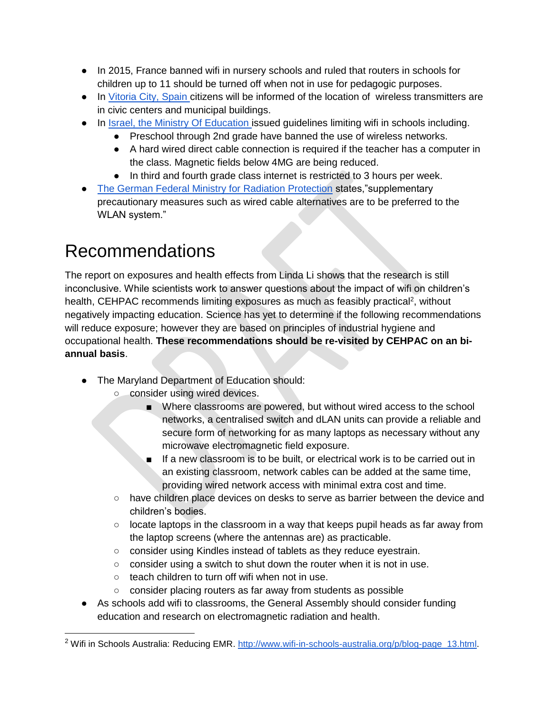- In 2015, France banned wifi in nursery schools and ruled that routers in schools for children up to 11 should be turned off when not in use for pedagogic purposes.
- In [Vitoria City, Spain c](http://www.elmundo.es/pais-vasco/2015/09/26/5606c8eaca4741a7658b4590.html)itizens will be informed of the location of wireless transmitters are in civic centers and municipal buildings.
- In [Israel, the Ministry Of Education i](http://cms.education.gov.il/EducationCMS/Applications/Mankal/EtsMedorim/3/3-6/HoraotKeva/K-2013-3-3-6-11.htm)ssued guidelines limiting wifi in schools including.
	- Preschool through 2nd grade have banned the use of wireless networks.
	- A hard wired direct cable connection is required if the teacher has a computer in the class. Magnetic fields below 4MG are being reduced.
	- In third and fourth grade class internet is restricted to 3 hours per week.
- [The German Federal Ministry for Radiation Protection](http://translate.google.com/translate?hl=en&sl=de&u=http://www.icems.eu/docs/deutscher_bundestag.pdf&prev=/search%3Fq%3DThe%2BGerman%2BFederal%2BMinistry%2Bfor%2BRadiation%2BProtection%2B%255BDas%2BBundesamt%2Bf%25C3%25BCr%2BStrahlenschutz%255D%2Brecommends,%2Bthat%2Bin%2Bview%2Bof%2Bthe%2Bregulated%2Blimits%2Bsupplementary%2Bprecautionary%2Bmeasures%2Bsuch%2Bas%2Bwired%2Bcable%2Balternatives%2Bare%2Bto%2Bbe%2Bpreferred%2Bto%2Bthe%2BWLAN%2Bsystem%2BAlso%2Bthe%2Bquestion%2Babout%2Bthe%2Bage-dependent%2Benergy%2Babsorption%2Band%2Benergy%2Bdistribution%2Bhas%2Bnot%2Byet%2Bbeen%2Bsatisfactorily%2Banswered.%2BThis%2Bstatement%2Bled%2Bthe%2BBavarian%2BLandtag%2Bto%2Bissue%2Ba%2Brecommendation%2Bto%2Bschools%2Bin%2Bwhich%2Bthe%2Bschools%2Bare%2Bcalled%2Bupon%2Bto%2Bavoid%2BWLAN,%2Bif%2Bpossible.%26client%3Dfirefox-a%26hs%3DL7e%26rls%3Dorg.mozilla:en-US:official%26channel%3Dsb) states,"supplementary precautionary measures such as wired cable alternatives are to be preferred to the WLAN system."

## Recommendations

The report on exposures and health effects from Linda Li shows that the research is still inconclusive. While scientists work to answer questions about the impact of wifi on children's health, CEHPAC recommends limiting exposures as much as feasibly practical<sup>2</sup>, without negatively impacting education. Science has yet to determine if the following recommendations will reduce exposure; however they are based on principles of industrial hygiene and occupational health. **These recommendations should be re-visited by CEHPAC on an biannual basis**.

- The Maryland Department of Education should:
	- consider using wired devices.
		- Where classrooms are powered, but without wired access to the school networks, a centralised switch and dLAN units can provide a reliable and secure form of networking for as many laptops as necessary without any microwave electromagnetic field exposure.
		- If a new classroom is to be built, or electrical work is to be carried out in an existing classroom, network cables can be added at the same time, providing wired network access with minimal extra cost and time.
	- have children place devices on desks to serve as barrier between the device and children's bodies.
	- $\circ$  locate laptops in the classroom in a way that keeps pupil heads as far away from the laptop screens (where the antennas are) as practicable.
	- consider using Kindles instead of tablets as they reduce eyestrain.
	- $\circ$  consider using a switch to shut down the router when it is not in use.
	- teach children to turn off wifi when not in use.
	- consider placing routers as far away from students as possible
- As schools add wifi to classrooms, the General Assembly should consider funding education and research on electromagnetic radiation and health.

<sup>&</sup>lt;sup>2</sup> Wifi in Schools Australia: Reducing EMR. [http://www.wifi-in-schools-australia.org/p/blog-page\\_13.html.](http://www.wifi-in-schools-australia.org/p/blog-page_13.html)